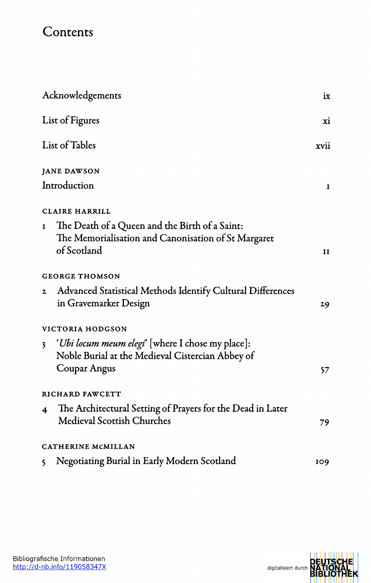## **Contents**

| Acknowledgements |                                                                                                                               | ix           |
|------------------|-------------------------------------------------------------------------------------------------------------------------------|--------------|
|                  | List of Figures<br>List of Tables                                                                                             |              |
|                  |                                                                                                                               |              |
|                  | <b>JANE DAWSON</b>                                                                                                            |              |
|                  | Introduction                                                                                                                  | 1            |
|                  | <b>CLAIRE HARRILL</b>                                                                                                         |              |
| 1                | The Death of a Queen and the Birth of a Saint:<br>The Memorialisation and Canonisation of St Margaret<br>of Scotland          | $\mathbf{H}$ |
|                  | <b>GEORGE THOMSON</b>                                                                                                         |              |
| $\mathbf{z}$     | Advanced Statistical Methods Identify Cultural Differences<br>in Gravemarker Design                                           | 29           |
|                  | VICTORIA HODGSON                                                                                                              |              |
|                  | 3 <i>'Ubi locum meum elegi'</i> [where I chose my place]:<br>Noble Burial at the Medieval Cistercian Abbey of<br>Coupar Angus | 57           |
|                  | RICHARD FAWCETT                                                                                                               |              |
| 4                | The Architectural Setting of Prayers for the Dead in Later<br><b>Medieval Scottish Churches</b>                               | 79           |
|                  | CATHERINE MCMILLAN                                                                                                            |              |
| $\mathsf{S}$     | Negotiating Burial in Early Modern Scotland                                                                                   | 109          |

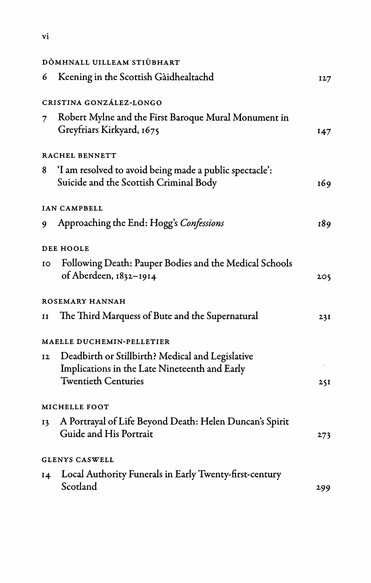| -<br>× |
|--------|
|--------|

| DÒMHNALL UILLEAM STIÙBHART |                                                                                                                                 |     |
|----------------------------|---------------------------------------------------------------------------------------------------------------------------------|-----|
| 6                          | Keening in the Scottish Gàidhealtachd                                                                                           | 127 |
|                            | CRISTINA GONZÁLEZ-LONGO                                                                                                         |     |
| 7                          | Robert Mylne and the First Baroque Mural Monument in<br>Greyfriars Kirkyard, 1675                                               | 147 |
|                            | RACHEL BENNETT                                                                                                                  |     |
| 8                          | 'I am resolved to avoid being made a public spectacle':<br>Suicide and the Scottish Criminal Body                               | 169 |
|                            | IAN CAMPBELL                                                                                                                    |     |
| 9                          | Approaching the End: Hogg's Confessions                                                                                         | 189 |
|                            | DEE HOOLE                                                                                                                       |     |
| 10                         | Following Death: Pauper Bodies and the Medical Schools<br>of Aberdeen, 1832-1914                                                | 205 |
|                            | ROSEMARY HANNAH                                                                                                                 |     |
| 11                         | The Third Marquess of Bute and the Supernatural                                                                                 | 231 |
|                            | MAELLE DUCHEMIN-PELLETIER                                                                                                       |     |
| 12                         | Deadbirth or Stillbirth? Medical and Legislative<br>Implications in the Late Nineteenth and Early<br><b>Twentieth Centuries</b> | 25I |
|                            | MICHELLE FOOT                                                                                                                   |     |
| 13                         | A Portrayal of Life Beyond Death: Helen Duncan's Spirit<br>Guide and His Portrait                                               | 273 |
|                            | <b>GLENYS CASWELL</b>                                                                                                           |     |
| 14                         | Local Authority Funerals in Early Twenty-first-century<br>Scotland                                                              | 299 |